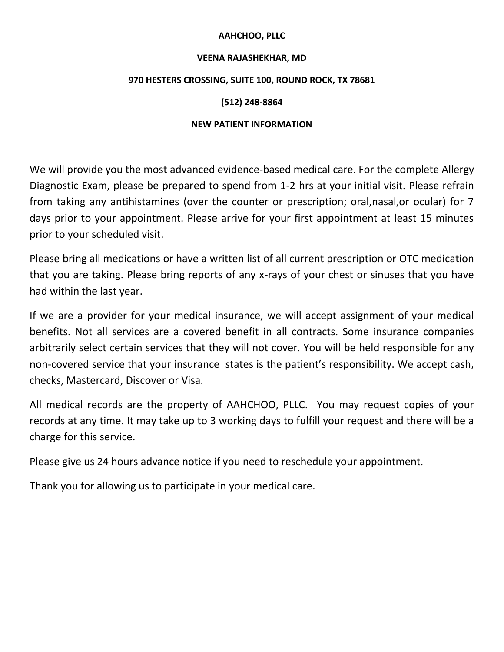# **AAHCHOO, PLLC**

#### **VEENA RAJASHEKHAR, MD**

### **970 HESTERS CROSSING, SUITE 100, ROUND ROCK, TX 78681**

# **(512) 248-8864**

# **NEW PATIENT INFORMATION**

We will provide you the most advanced evidence-based medical care. For the complete Allergy Diagnostic Exam, please be prepared to spend from 1-2 hrs at your initial visit. Please refrain from taking any antihistamines (over the counter or prescription; oral,nasal,or ocular) for 7 days prior to your appointment. Please arrive for your first appointment at least 15 minutes prior to your scheduled visit.

Please bring all medications or have a written list of all current prescription or OTC medication that you are taking. Please bring reports of any x-rays of your chest or sinuses that you have had within the last year.

If we are a provider for your medical insurance, we will accept assignment of your medical benefits. Not all services are a covered benefit in all contracts. Some insurance companies arbitrarily select certain services that they will not cover. You will be held responsible for any non-covered service that your insurance states is the patient's responsibility. We accept cash, checks, Mastercard, Discover or Visa.

All medical records are the property of AAHCHOO, PLLC. You may request copies of your records at any time. It may take up to 3 working days to fulfill your request and there will be a charge for this service.

Please give us 24 hours advance notice if you need to reschedule your appointment.

Thank you for allowing us to participate in your medical care.